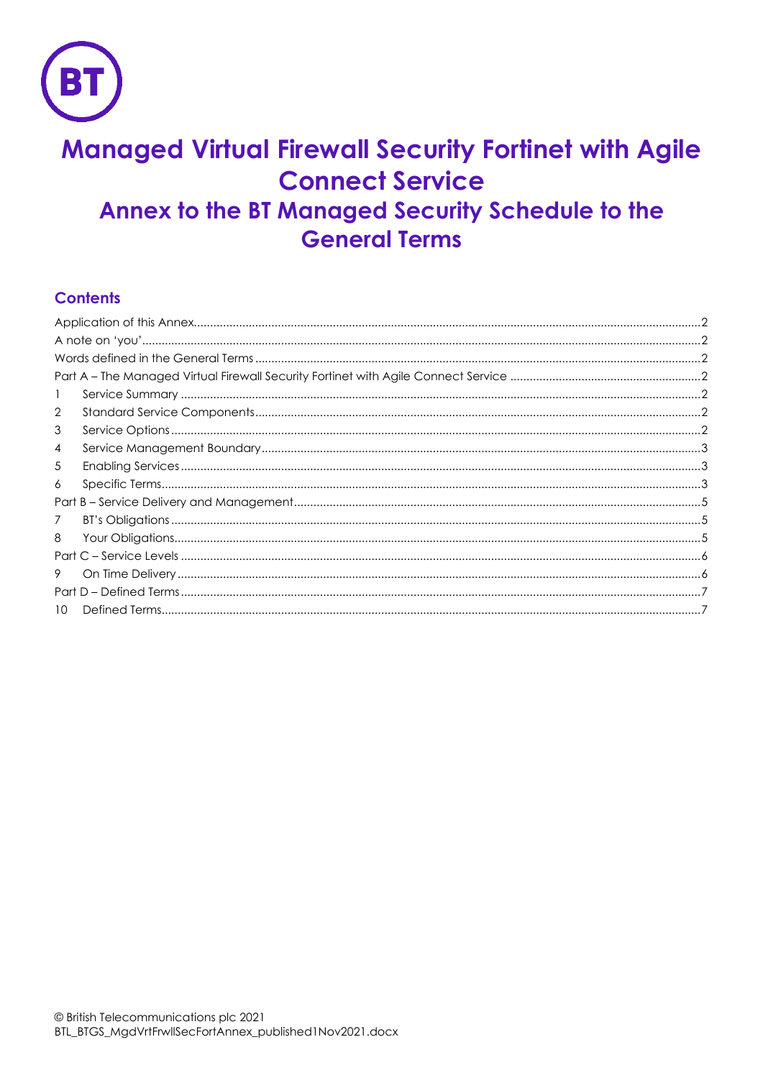

# **Managed Virtual Firewall Security Fortinet with Agile Connect Service** Annex to the BT Managed Security Schedule to the **General Terms**

# **Contents**

| 2             |  |  |
|---------------|--|--|
| 3             |  |  |
| 4             |  |  |
| 5             |  |  |
| 6             |  |  |
|               |  |  |
| $\mathcal{I}$ |  |  |
| 8             |  |  |
|               |  |  |
| 9             |  |  |
|               |  |  |
| 10            |  |  |
|               |  |  |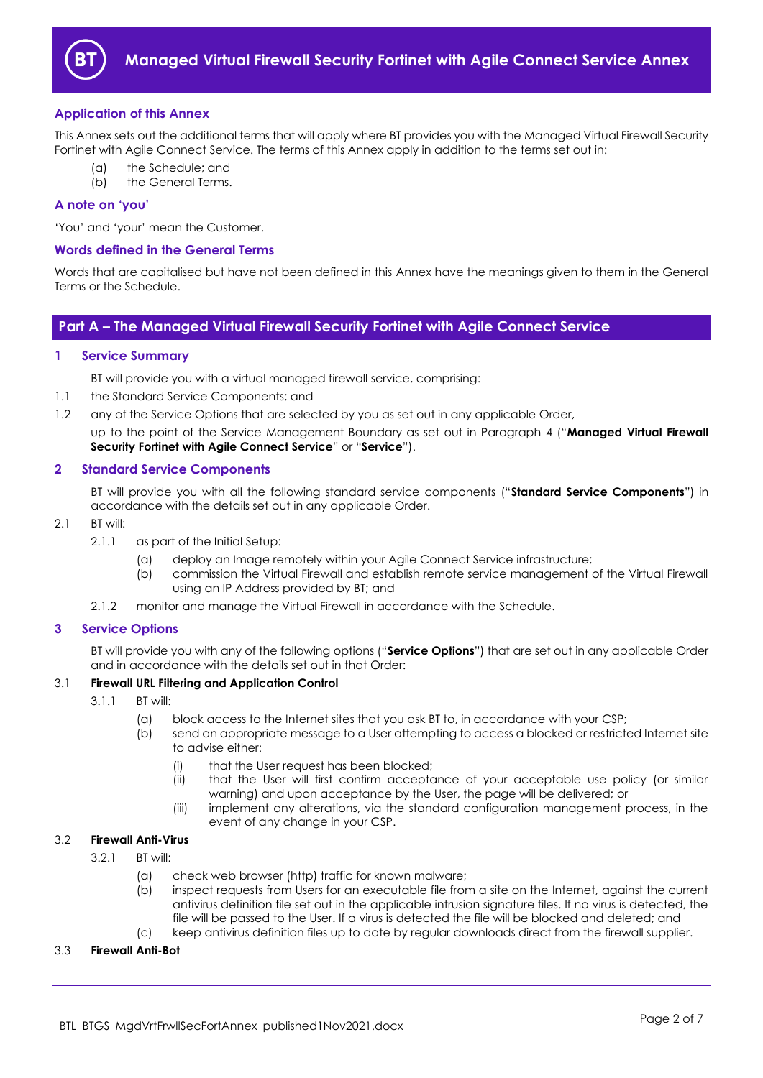

# <span id="page-1-0"></span>**Application of this Annex**

This Annex sets out the additional terms that will apply where BT provides you with the Managed Virtual Firewall Security Fortinet with Agile Connect Service. The terms of this Annex apply in addition to the terms set out in:

- (a) the Schedule; and
- (b) the General Terms.

## <span id="page-1-1"></span>**A note on 'you'**

'You' and 'your' mean the Customer.

## <span id="page-1-2"></span>**Words defined in the General Terms**

Words that are capitalised but have not been defined in this Annex have the meanings given to them in the General Terms or the Schedule.

# <span id="page-1-3"></span>**Part A – The Managed Virtual Firewall Security Fortinet with Agile Connect Service**

# <span id="page-1-4"></span>**1 Service Summary**

BT will provide you with a virtual managed firewall service, comprising:

- 1.1 the Standard Service Components; and
- 1.2 any of the Service Options that are selected by you as set out in any applicable Order,

up to the point of the Service Management Boundary as set out in Paragraph [4](#page-2-0) ("**Managed Virtual Firewall Security Fortinet with Agile Connect Service**" or "**Service**").

# <span id="page-1-5"></span>**2 Standard Service Components**

BT will provide you with all the following standard service components ("**Standard Service Components**") in accordance with the details set out in any applicable Order.

- 2.1 BT will:
	- 2.1.1 as part of the Initial Setup:
		- (a) deploy an Image remotely within your Agile Connect Service infrastructure;
		- (b) commission the Virtual Firewall and establish remote service management of the Virtual Firewall using an IP Address provided by BT; and
	- 2.1.2 monitor and manage the Virtual Firewall in accordance with the Schedule.

#### <span id="page-1-6"></span>**3 Service Options**

BT will provide you with any of the following options ("**Service Options**") that are set out in any applicable Order and in accordance with the details set out in that Order:

# <span id="page-1-9"></span>3.1 **Firewall URL Filtering and Application Control**

- 3.1.1 BT will:
	- (a) block access to the Internet sites that you ask BT to, in accordance with your CSP;
	- (b) send an appropriate message to a User attempting to access a blocked or restricted Internet site to advise either:
		- (i) that the User request has been blocked;
		- (ii) that the User will first confirm acceptance of your acceptable use policy (or similar warning) and upon acceptance by the User, the page will be delivered; or
		- (iii) implement any alterations, via the standard configuration management process, in the event of any change in your CSP.

# <span id="page-1-8"></span>3.2 **Firewall Anti-Virus**

- 3.2.1 BT will:
	- (a) check web browser (http) traffic for known malware;
	- (b) inspect requests from Users for an executable file from a site on the Internet, against the current antivirus definition file set out in the applicable intrusion signature files. If no virus is detected, the file will be passed to the User. If a virus is detected the file will be blocked and deleted; and
	- (c) keep antivirus definition files up to date by regular downloads direct from the firewall supplier.

# <span id="page-1-7"></span>3.3 **Firewall Anti-Bot**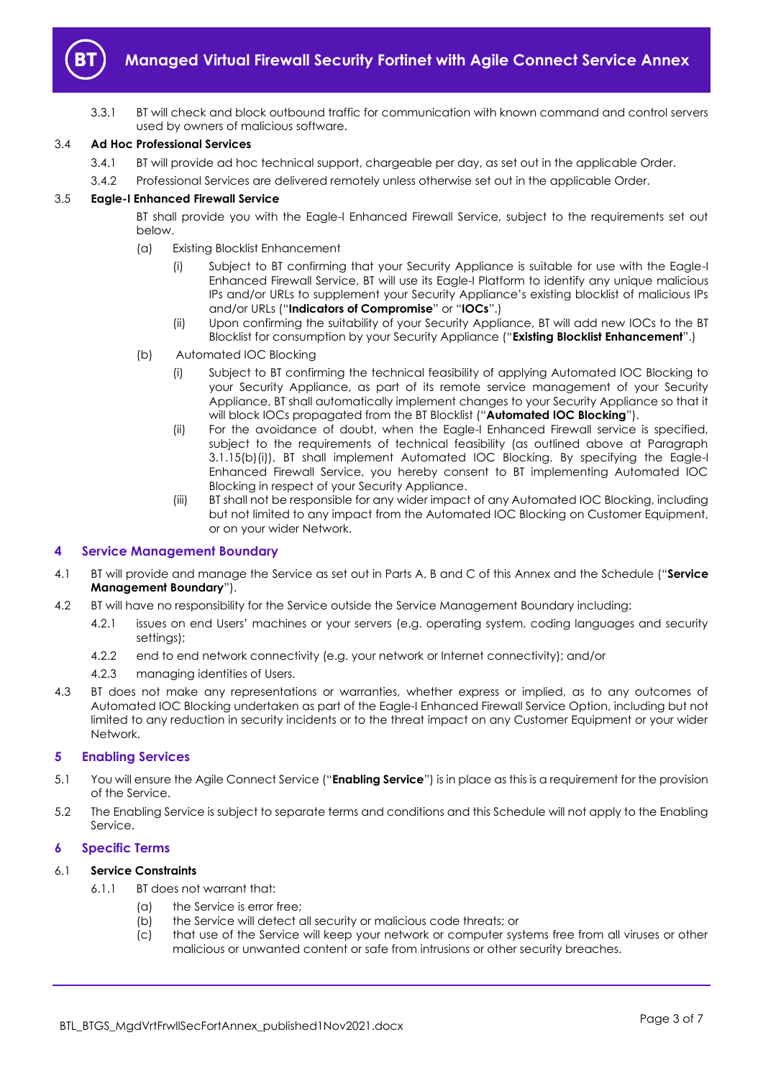

3.3.1 BT will check and block outbound traffic for communication with known command and control servers used by owners of malicious software.

# <span id="page-2-4"></span>3.4 **Ad Hoc Professional Services**

- 3.4.1 BT will provide ad hoc technical support, chargeable per day, as set out in the applicable Order.
- 3.4.2 Professional Services are delivered remotely unless otherwise set out in the applicable Order.

# <span id="page-2-8"></span><span id="page-2-5"></span>3.5 **Eagle-I Enhanced Firewall Service**

BT shall provide you with the Eagle-I Enhanced Firewall Service, subject to the requirements set out below.

- (a) Existing Blocklist Enhancement
	- (i) Subject to BT confirming that your Security Appliance is suitable for use with the Eagle-I Enhanced Firewall Service, BT will use its Eagle-I Platform to identify any unique malicious IPs and/or URLs to supplement your Security Appliance's existing blocklist of malicious IPs and/or URLs ("**Indicators of Compromise**" or "**IOCs**".)
	- (ii) Upon confirming the suitability of your Security Appliance, BT will add new IOCs to the BT Blocklist for consumption by your Security Appliance ("**Existing Blocklist Enhancement**".)
- <span id="page-2-7"></span><span id="page-2-3"></span>(b) Automated IOC Blocking
	- (i) Subject to BT confirming the technical feasibility of applying Automated IOC Blocking to your Security Appliance, as part of its remote service management of your Security Appliance, BT shall automatically implement changes to your Security Appliance so that it will block IOCs propagated from the BT Blocklist ("**Automated IOC Blocking**").
	- (ii) For the avoidance of doubt, when the Eagle-I Enhanced Firewall service is specified, subject to the requirements of technical feasibility (as outlined above at Paragraph 3.1.15(b[\)\(i\)\)](#page-2-3), BT shall implement Automated IOC Blocking. By specifying the Eagle-I Enhanced Firewall Service, you hereby consent to BT implementing Automated IOC Blocking in respect of your Security Appliance.
	- (iii) BT shall not be responsible for any wider impact of any Automated IOC Blocking, including but not limited to any impact from the Automated IOC Blocking on Customer Equipment, or on your wider Network.

# <span id="page-2-0"></span>**4 Service Management Boundary**

- 4.1 BT will provide and manage the Service as set out in Parts A, B and C of this Annex and the Schedule ("**Service Management Boundary**").
- 4.2 BT will have no responsibility for the Service outside the Service Management Boundary including:
	- 4.2.1 issues on end Users' machines or your servers (e.g. operating system, coding languages and security settings);
	- 4.2.2 end to end network connectivity (e.g. your network or Internet connectivity); and/or
	- 4.2.3 managing identities of Users.
- 4.3 BT does not make any representations or warranties, whether express or implied, as to any outcomes of Automated IOC Blocking undertaken as part of the Eagle-I Enhanced Firewall Service Option, including but not limited to any reduction in security incidents or to the threat impact on any Customer Equipment or your wider Network.

# <span id="page-2-1"></span>**5 Enabling Services**

- <span id="page-2-6"></span>5.1 You will ensure the Agile Connect Service ("**Enabling Service**") is in place as this is a requirement for the provision of the Service.
- 5.2 The Enabling Service is subject to separate terms and conditions and this Schedule will not apply to the Enabling Service.

# <span id="page-2-2"></span>**6 Specific Terms**

#### 6.1 **Service Constraints**

- 6.1.1 BT does not warrant that:
	- (a) the Service is error free;
	- (b) the Service will detect all security or malicious code threats; or
	- (c) that use of the Service will keep your network or computer systems free from all viruses or other malicious or unwanted content or safe from intrusions or other security breaches.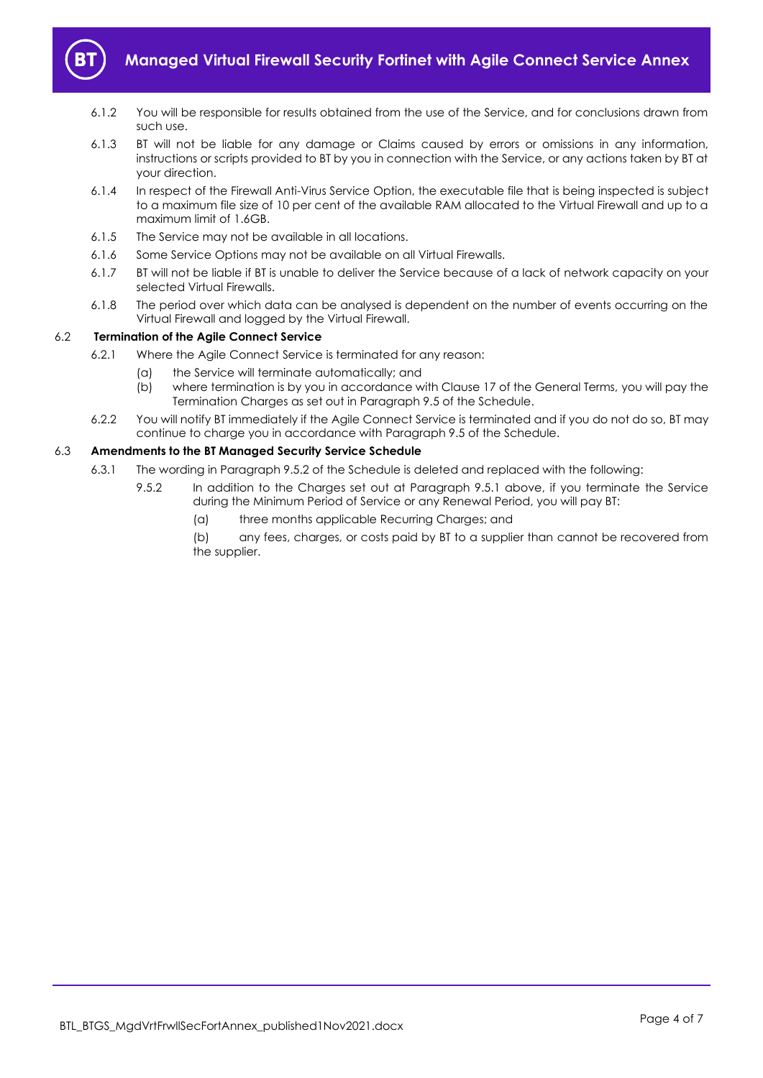

- 6.1.2 You will be responsible for results obtained from the use of the Service, and for conclusions drawn from such use.
- 6.1.3 BT will not be liable for any damage or Claims caused by errors or omissions in any information, instructions or scripts provided to BT by you in connection with the Service, or any actions taken by BT at your direction.
- 6.1.4 In respect of the Firewall Anti-Virus Service Option, the executable file that is being inspected is subject to a maximum file size of 10 per cent of the available RAM allocated to the Virtual Firewall and up to a maximum limit of 1.6GB.
- 6.1.5 The Service may not be available in all locations.
- 6.1.6 Some Service Options may not be available on all Virtual Firewalls.
- 6.1.7 BT will not be liable if BT is unable to deliver the Service because of a lack of network capacity on your selected Virtual Firewalls.
- 6.1.8 The period over which data can be analysed is dependent on the number of events occurring on the Virtual Firewall and logged by the Virtual Firewall.

# 6.2 **Termination of the Agile Connect Service**

- 6.2.1 Where the Agile Connect Service is terminated for any reason:
	- (a) the Service will terminate automatically; and
	- (b) where termination is by you in accordance with Clause 17 of the General Terms, you will pay the Termination Charges as set out in Paragraph 9.5 of the Schedule.
- 6.2.2 You will notify BT immediately if the Agile Connect Service is terminated and if you do not do so, BT may continue to charge you in accordance with Paragraph 9.5 of the Schedule.

# 6.3 **Amendments to the BT Managed Security Service Schedule**

- 6.3.1 The wording in Paragraph 9.5.2 of the Schedule is deleted and replaced with the following:
	- 9.5.2 In addition to the Charges set out at Paragraph 9.5.1 above, if you terminate the Service during the Minimum Period of Service or any Renewal Period, you will pay BT:
		- (a) three months applicable Recurring Charges; and

(b) any fees, charges, or costs paid by BT to a supplier than cannot be recovered from the supplier.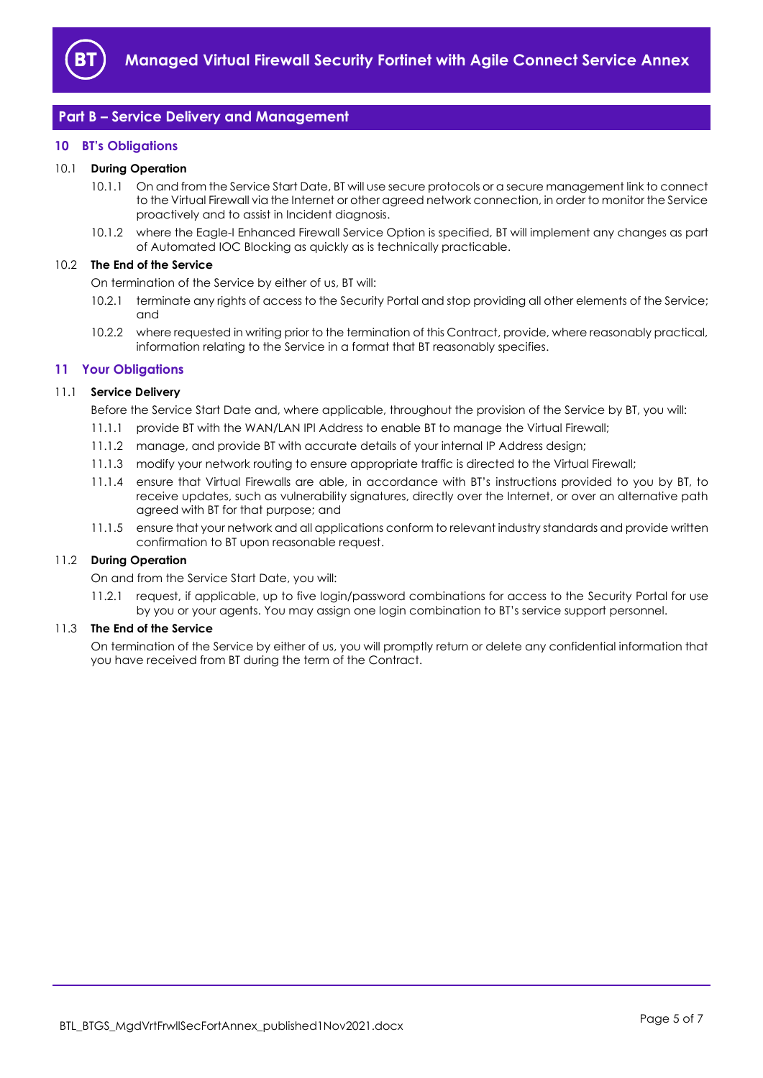

# <span id="page-4-0"></span>**Part B – Service Delivery and Management**

# <span id="page-4-1"></span>**10 BT's Obligations**

#### 10.1 **During Operation**

- 10.1.1 On and from the Service Start Date, BT will use secure protocols or a secure management link to connect to the Virtual Firewall via the Internet or other agreed network connection, in order to monitor the Service proactively and to assist in Incident diagnosis.
- 10.1.2 where the Eagle-I Enhanced Firewall Service Option is specified, BT will implement any changes as part of Automated IOC Blocking as quickly as is technically practicable.

#### 10.2 **The End of the Service**

On termination of the Service by either of us, BT will:

- 10.2.1 terminate any rights of access to the Security Portal and stop providing all other elements of the Service; and
- 10.2.2 where requested in writing prior to the termination of this Contract, provide, where reasonably practical, information relating to the Service in a format that BT reasonably specifies.

# <span id="page-4-2"></span>**11 Your Obligations**

#### 11.1 **Service Delivery**

Before the Service Start Date and, where applicable, throughout the provision of the Service by BT, you will:

- 11.1.1 provide BT with the WAN/LAN IPl Address to enable BT to manage the Virtual Firewall;
- 11.1.2 manage, and provide BT with accurate details of your internal IP Address design;
- 11.1.3 modify your network routing to ensure appropriate traffic is directed to the Virtual Firewall;
- 11.1.4 ensure that Virtual Firewalls are able, in accordance with BT's instructions provided to you by BT, to receive updates, such as vulnerability signatures, directly over the Internet, or over an alternative path agreed with BT for that purpose; and
- 11.1.5 ensure that your network and all applications conform to relevant industry standards and provide written confirmation to BT upon reasonable request.

#### 11.2 **During Operation**

On and from the Service Start Date, you will:

11.2.1 request, if applicable, up to five login/password combinations for access to the Security Portal for use by you or your agents. You may assign one login combination to BT's service support personnel.

#### 11.3 **The End of the Service**

On termination of the Service by either of us, you will promptly return or delete any confidential information that you have received from BT during the term of the Contract.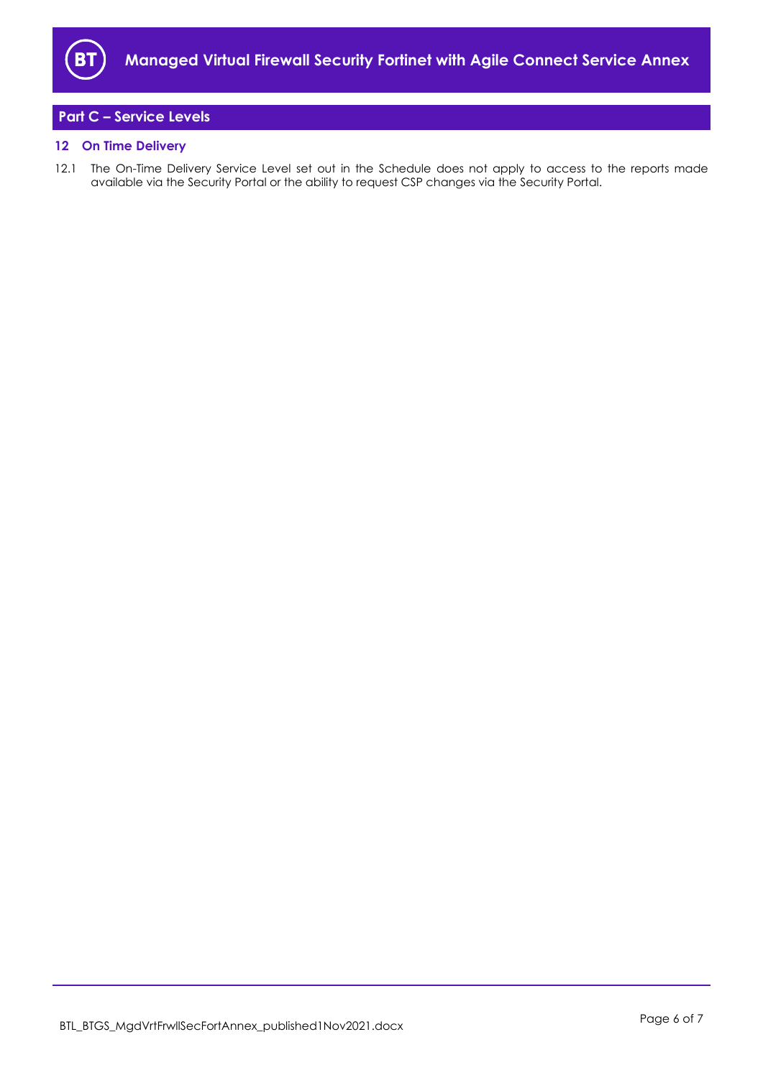

# <span id="page-5-0"></span>**Part C – Service Levels**

# <span id="page-5-1"></span>**12 On Time Delivery**

12.1 The On-Time Delivery Service Level set out in the Schedule does not apply to access to the reports made available via the Security Portal or the ability to request CSP changes via the Security Portal.